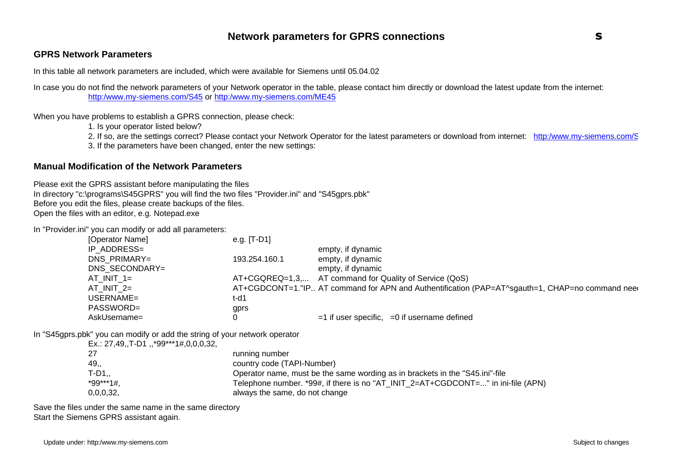#### **GPRS Network Parameters**

In this table all network parameters are included, which were available for Siemens until 05.04.02

In case you do not find the network parameters of your Network operator in the table, please contact him directly or download the latest update from the internet: http:/www.my-siemens.com/S45 or http:/www.my-siemens.com/ME45

When you have problems to establish a GPRS connection, please check:

1. Is your operator listed below?

2. If so, are the settings correct? Please contact your Network Operator for the latest parameters or download from internet: http:/www.my-siemens.com/S

3. If the parameters have been changed, enter the new settings:

#### **Manual Modification of the Network Parameters**

Please exit the GPRS assistant before manipulating the files In directory "c:\programs\S45GPRS" you will find the two files "Provider.ini" and "S45gprs.pbk" Before you edit the files, please create backups of the files. Open the files with an editor, e.g. Notepad.exe

In "Provider.ini" you can modify or add all parameters:

| [Operator Name] | e.g. $[T-D1]$ |                                                                                                |
|-----------------|---------------|------------------------------------------------------------------------------------------------|
| IP ADDRESS=     |               | empty, if dynamic                                                                              |
| DNS PRIMARY=    | 193.254.160.1 | empty, if dynamic                                                                              |
| DNS SECONDARY=  |               | empty, if dynamic                                                                              |
| $AT$ INIT 1=    |               | AT+CGQREQ=1,3, AT command for Quality of Service (QoS)                                         |
| $AT$ INIT $2=$  |               | AT+CGDCONT=1."IP AT command for APN and Authentification (PAP=AT^sgauth=1, CHAP=no command nee |
| USERNAME=       | t-d1          |                                                                                                |
| PASSWORD=       | gprs          |                                                                                                |
| AskUsername=    |               | $=$ 1 if user specific, $=$ 0 if username defined                                              |

In "S45gprs.pbk" you can modify or add the string of your network operator

| $Ex.: 27,49., T-D1,$ , *99***1#,0,0,0,32, |                                                                                  |
|-------------------------------------------|----------------------------------------------------------------------------------|
| 27                                        | running number                                                                   |
| 49,,                                      | country code (TAPI-Number)                                                       |
| $T-D1.$                                   | Operator name, must be the same wording as in brackets in the "S45.ini"-file     |
| $*99***1#$                                | Telephone number. *99#, if there is no "AT_INIT_2=AT+CGDCONT=" in ini-file (APN) |
| 0,0,0,32,                                 | always the same, do not change                                                   |

Save the files under the same name in the same directory Start the Siemens GPRS assistant again.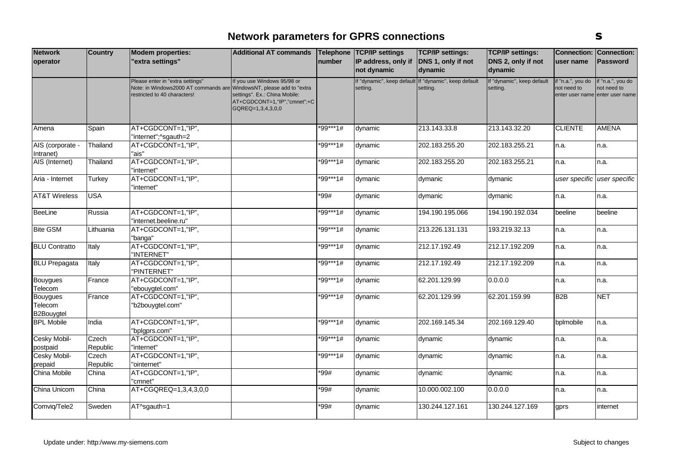| <b>Network</b>                    | <b>Country</b>    | <b>Modem properties:</b>                                                                                                                | <b>Additional AT commands</b>                                                                                     |          | Telephone TCP/IP settings          | <b>TCP/IP settings:</b>                                           | <b>TCP/IP settings:</b>                |                                  | <b>Connection: Connection:</b>                                      |
|-----------------------------------|-------------------|-----------------------------------------------------------------------------------------------------------------------------------------|-------------------------------------------------------------------------------------------------------------------|----------|------------------------------------|-------------------------------------------------------------------|----------------------------------------|----------------------------------|---------------------------------------------------------------------|
| operator                          |                   | 'extra settings"                                                                                                                        |                                                                                                                   | number   | IP address, only if<br>not dynamic | DNS 1, only if not<br>dynamic                                     | DNS 2, only if not<br>dynamic          | user name                        | <b>Password</b>                                                     |
|                                   |                   | Please enter in "extra settings"<br>Note: in Windows2000 AT commands are WindowsNT, please add to "extra<br>estricted to 40 characters! | If you use Windows 95/98 or<br>settings". Ex.: China Mobile:<br>AT+CGDCONT=1,"IP","cmnet";+C<br>GQREQ=1,3,4,3,0,0 |          | setting.                           | If "dynamic", keep default If "dynamic", keep default<br>setting. | If "dynamic", keep default<br>setting. | if "n.a.", you do<br>not need to | if "n.a.", you do<br>not need to<br>enter user name enter user name |
| Amena                             | Spain             | AT+CGDCONT=1,"IP",<br>'internet";^sgauth=2                                                                                              |                                                                                                                   | *99***1# | dynamic                            | 213.143.33.8                                                      | 213.143.32.20                          | <b>CLIENTE</b>                   | <b>AMENA</b>                                                        |
| AIS (corporate<br>Intranet)       | Thailand          | AT+CGDCONT=1,"IP",<br>"ais"                                                                                                             |                                                                                                                   | *99***1# | dynamic                            | 202.183.255.20                                                    | 202.183.255.21                         | n.a.                             | n.a.                                                                |
| AIS (Internet)                    | Thailand          | AT+CGDCONT=1,"IP",<br>"internet"                                                                                                        |                                                                                                                   | *99***1# | dymanic                            | 202.183.255.20                                                    | 202.183.255.21                         | n.a.                             | n.a.                                                                |
| Aria - Internet                   | Turkey            | AT+CGDCONT=1,"IP",<br>'internet"                                                                                                        |                                                                                                                   | *99***1# | dymanic                            | dymanic                                                           | dymanic                                |                                  | user specific user specific                                         |
| <b>AT&amp;T Wireless</b>          | <b>USA</b>        |                                                                                                                                         |                                                                                                                   | $*99#$   | dymanic                            | dymanic                                                           | dymanic                                | n.a.                             | n.a.                                                                |
| BeeLine                           | Russia            | AT+CGDCONT=1,"IP",<br>'internet.beeline.ru"                                                                                             |                                                                                                                   | *99***1# | dynamic                            | 194.190.195.066                                                   | 194.190.192.034                        | beeline                          | beeline                                                             |
| <b>Bite GSM</b>                   | Lithuania         | AT+CGDCONT=1,"IP",<br>"banga"                                                                                                           |                                                                                                                   | *99***1# | dynamic                            | 213.226.131.131                                                   | 193.219.32.13                          | n.a.                             | n.a.                                                                |
| <b>BLU Contratto</b>              | Italy             | AT+CGDCONT=1,"IP",<br>'INTERNET"                                                                                                        |                                                                                                                   | *99***1# | dynamic                            | 212.17.192.49                                                     | 212.17.192.209                         | n.a.                             | n.a.                                                                |
| <b>BLU Prepagata</b>              | Italy             | AT+CGDCONT=1,"IP",<br>'PINTERNET"                                                                                                       |                                                                                                                   | *99***1# | dynamic                            | 212.17.192.49                                                     | 212.17.192.209                         | n.a.                             | n.a.                                                                |
| Bouygues<br>Telecom               | France            | AT+CGDCONT=1,"IP",<br>'ebouygtel.com"                                                                                                   |                                                                                                                   | *99***1# | dynamic                            | 62.201.129.99                                                     | 0.0.0.0                                | n.a.                             | n.a.                                                                |
| Bouygues<br>Telecom<br>B2Bouygtel | France            | AT+CGDCONT=1,"IP",<br>"b2bouygtel.com"                                                                                                  |                                                                                                                   | *99***1# | dynamic                            | 62.201.129.99                                                     | 62.201.159.99                          | B2B                              | <b>NET</b>                                                          |
| <b>BPL Mobile</b>                 | India             | AT+CGDCONT=1,"IP",<br>'bplgprs.com"                                                                                                     |                                                                                                                   | *99***1# | dynamic                            | 202.169.145.34                                                    | 202.169.129.40                         | bplmobile                        | n.a.                                                                |
| Cesky Mobil-<br>postpaid          | Czech<br>Republic | AT+CGDCONT=1,"IP",<br>'internet"                                                                                                        |                                                                                                                   | *99***1# | dynamic                            | dynamic                                                           | dynamic                                | n.a.                             | n.a.                                                                |
| Cesky Mobil-<br>prepaid           | Czech<br>Republic | AT+CGDCONT=1,"IP",<br>'ointernet"                                                                                                       |                                                                                                                   | *99***1# | dynamic                            | dynamic                                                           | dynamic                                | n.a.                             | n.a.                                                                |
| China Mobile                      | China             | AT+CGDCONT=1,"IP",<br>'cmnet"                                                                                                           |                                                                                                                   | *99#     | dynamic                            | dynamic                                                           | dynamic                                | n.a.                             | n.a.                                                                |
| China Unicom                      | China             | AT+CGQREQ=1,3,4,3,0,0                                                                                                                   |                                                                                                                   | *99#     | dynamic                            | 10.000.002.100                                                    | 0.0.0.0                                | n.a.                             | n.a.                                                                |
| Comvig/Tele2                      | Sweden            | AT^sgauth=1                                                                                                                             |                                                                                                                   | *99#     | dynamic                            | 130.244.127.161                                                   | 130.244.127.169                        | gprs                             | internet                                                            |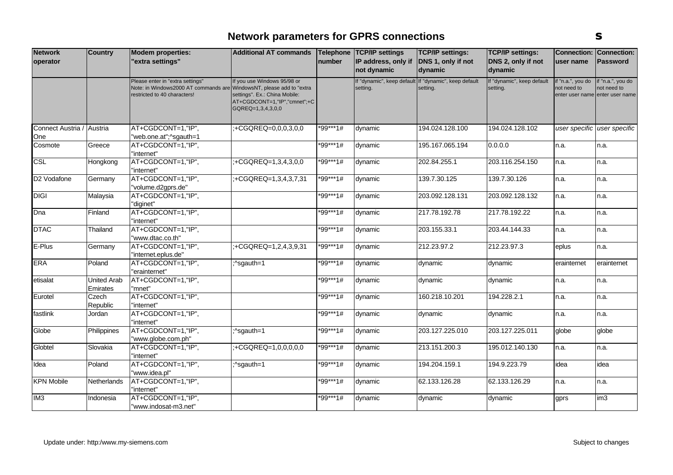| <b>Network</b>    | <b>Country</b>                 | <b>Modem properties:</b>                                                                                                                 | <b>Additional AT commands</b>                                                                                     |            | Telephone   TCP/IP settings | <b>TCP/IP settings:</b>                                           | <b>TCP/IP settings:</b>                | <b>Connection:</b>              | Connection:                                                         |
|-------------------|--------------------------------|------------------------------------------------------------------------------------------------------------------------------------------|-------------------------------------------------------------------------------------------------------------------|------------|-----------------------------|-------------------------------------------------------------------|----------------------------------------|---------------------------------|---------------------------------------------------------------------|
| operator          |                                | 'extra settings"                                                                                                                         |                                                                                                                   | number     | IP address, only if         | DNS 1, only if not                                                | DNS 2, only if not                     | user name                       | Password                                                            |
|                   |                                |                                                                                                                                          |                                                                                                                   |            | not dynamic                 | dynamic                                                           | dynamic                                |                                 |                                                                     |
|                   |                                | Please enter in "extra settings"<br>Note: in Windows2000 AT commands are WindowsNT, please add to "extra<br>restricted to 40 characters! | If you use Windows 95/98 or<br>settings". Ex.: China Mobile:<br>AT+CGDCONT=1,"IP","cmnet";+C<br>GQREQ=1,3,4,3,0,0 |            | setting.                    | If "dynamic", keep default If "dynamic", keep default<br>setting. | If "dynamic", keep default<br>setting. | f "n.a.", you do<br>not need to | if "n.a.", you do<br>not need to<br>enter user name enter user name |
| Connect Austria / | Austria                        | AT+CGDCONT=1,"IP",                                                                                                                       | :+CGQREQ=0,0,0,3,0,0                                                                                              | *99***1#   | dynamic                     | 194.024.128.100                                                   | 194.024.128.102                        |                                 | user specific user specific                                         |
| One               |                                | "web.one.at";^sgauth=1                                                                                                                   |                                                                                                                   |            |                             |                                                                   |                                        |                                 |                                                                     |
| Cosmote           | Greece                         | AT+CGDCONT=1,"IP",<br>"internet"                                                                                                         |                                                                                                                   | $*99***1#$ | dynamic                     | 195.167.065.194                                                   | 0.0.0.0                                | n.a.                            | n.a.                                                                |
| CSL               | Hongkong                       | AT+CGDCONT=1,"IP",<br>"internet"                                                                                                         | :+CGQREQ=1,3,4,3,0,0                                                                                              | *99***1#   | dynamic                     | 202.84.255.1                                                      | 203.116.254.150                        | n.a.                            | n.a.                                                                |
| D2 Vodafone       | Germany                        | AT+CGDCONT=1,"IP",<br>"volume.d2gprs.de"                                                                                                 | :+CGQREQ=1,3,4,3,7,31                                                                                             | *99***1#   | dynamic                     | 139.7.30.125                                                      | 139.7.30.126                           | n.a.                            | n.a.                                                                |
| <b>DIGI</b>       | Malaysia                       | AT+CGDCONT=1,"IP",<br>"diginet"                                                                                                          |                                                                                                                   | *99***1#   | dynamic                     | 203.092.128.131                                                   | 203.092.128.132                        | n.a.                            | n.a.                                                                |
| Dna               | Finland                        | AT+CGDCONT=1,"IP",<br>"internet"                                                                                                         |                                                                                                                   | *99***1#   | dynamic                     | 217.78.192.78                                                     | 217.78.192.22                          | n.a.                            | n.a.                                                                |
| <b>DTAC</b>       | Thailand                       | AT+CGDCONT=1,"IP",<br>'www.dtac.co.th"                                                                                                   |                                                                                                                   | *99***1#   | dynamic                     | 203.155.33.1                                                      | 203.44.144.33                          | n.a.                            | n.a.                                                                |
| E-Plus            | Germany                        | AT+CGDCONT=1,"IP",<br>"internet.eplus.de"                                                                                                | :+CGQREQ=1,2,4,3,9,31                                                                                             | *99***1#   | dynamic                     | 212.23.97.2                                                       | 212.23.97.3                            | eplus                           | n.a.                                                                |
| <b>ERA</b>        | Poland                         | AT+CGDCONT=1,"IP",<br>'erainternet"                                                                                                      | ;^sgauth=1                                                                                                        | *99***1#   | dynamic                     | dynamic                                                           | dynamic                                | erainternet                     | erainternet                                                         |
| etisalat          | <b>United Arab</b><br>Emirates | AT+CGDCONT=1,"IP",<br>'mnet"                                                                                                             |                                                                                                                   | *99***1#   | dynamic                     | dynamic                                                           | dynamic                                | n.a.                            | n.a.                                                                |
| Eurotel           | Czech<br>Republic              | AT+CGDCONT=1,"IP",<br>"internet"                                                                                                         |                                                                                                                   | *99***1#   | dynamic                     | 160.218.10.201                                                    | 194.228.2.1                            | n.a.                            | n.a.                                                                |
| fastlink          | Jordan                         | AT+CGDCONT=1,"IP",<br>"internet"                                                                                                         |                                                                                                                   | *99***1#   | dynamic                     | dynamic                                                           | dynamic                                | n.a.                            | n.a.                                                                |
| Globe             | Philippines                    | AT+CGDCONT=1,"IP",<br>"www.globe.com.ph"                                                                                                 | :^sgauth=1                                                                                                        | *99***1#   | dynamic                     | 203.127.225.010                                                   | 203.127.225.011                        | globe                           | globe                                                               |
| Globtel           | Slovakia                       | AT+CGDCONT=1,"IP",<br>"internet"                                                                                                         | :+CGQREQ=1,0,0,0,0,0                                                                                              | *99***1#   | dynamic                     | 213.151.200.3                                                     | 195.012.140.130                        | n.a.                            | n.a.                                                                |
| Idea              | Poland                         | AT+CGDCONT=1,"IP",<br>"www.idea.pl"                                                                                                      | ;^sgauth=1                                                                                                        | *99***1#   | dynamic                     | 194.204.159.1                                                     | 194.9.223.79                           | idea                            | idea                                                                |
| <b>KPN Mobile</b> | Netherlands                    | AT+CGDCONT=1,"IP",<br>"internet"                                                                                                         |                                                                                                                   | *99***1#   | dynamic                     | 62.133.126.28                                                     | 62.133.126.29                          | n.a.                            | n.a.                                                                |
| IM <sub>3</sub>   | Indonesia                      | AT+CGDCONT=1,"IP",<br>"www.indosat-m3.net"                                                                                               |                                                                                                                   | *99***1#   | dynamic                     | dynamic                                                           | dynamic                                | gprs                            | im <sub>3</sub>                                                     |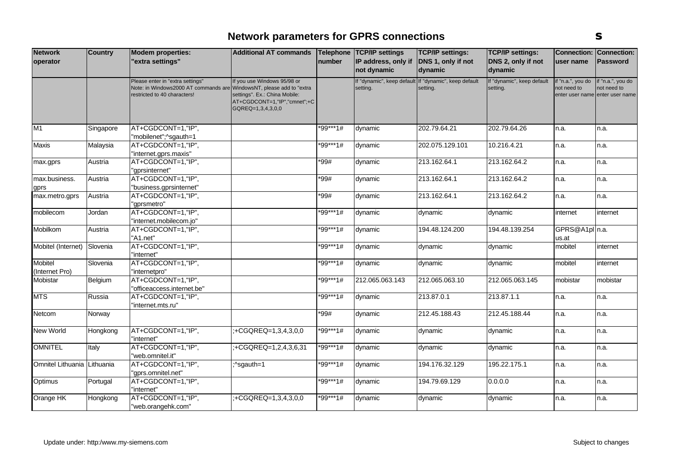| <b>Network</b>              | <b>Country</b> | <b>Modem properties:</b>             | <b>Additional AT commands</b>                     |          | Telephone   TCP/IP settings | <b>TCP/IP settings:</b>                               | <b>TCP/IP settings:</b>    | <b>Connection:</b> | Connection:                     |
|-----------------------------|----------------|--------------------------------------|---------------------------------------------------|----------|-----------------------------|-------------------------------------------------------|----------------------------|--------------------|---------------------------------|
| operator                    |                | 'extra settings"                     |                                                   | number   | IP address, only if         | DNS 1, only if not                                    | DNS 2, only if not         | user name          | Password                        |
|                             |                |                                      |                                                   |          | not dynamic                 | dynamic                                               | dynamic                    |                    |                                 |
|                             |                | Please enter in "extra settings"     | If you use Windows 95/98 or                       |          |                             | If "dynamic", keep default If "dynamic", keep default | If "dynamic", keep default | if "n.a.", you do  | if "n.a.", you do               |
|                             |                | Note: in Windows2000 AT commands are | WindowsNT, please add to "extra                   |          | setting.                    | setting.                                              | setting.                   | not need to        | not need to                     |
|                             |                | restricted to 40 characters!         | settings". Ex.: China Mobile:                     |          |                             |                                                       |                            |                    | enter user name enter user name |
|                             |                |                                      | AT+CGDCONT=1,"IP","cmnet";+C<br>GQREQ=1,3,4,3,0,0 |          |                             |                                                       |                            |                    |                                 |
|                             |                |                                      |                                                   |          |                             |                                                       |                            |                    |                                 |
| M1                          | Singapore      | AT+CGDCONT=1,"IP",                   |                                                   | *99***1# | dynamic                     | 202.79.64.21                                          | 202.79.64.26               | n.a.               | n.a.                            |
|                             |                | "mobilenet";^sgauth=1                |                                                   |          |                             |                                                       |                            |                    |                                 |
| Maxis                       | Malaysia       | AT+CGDCONT=1,"IP",                   |                                                   | *99***1# | dynamic                     | 202.075.129.101                                       | 10.216.4.21                | n.a.               | n.a.                            |
|                             |                | "internet.gprs.maxis"                |                                                   |          |                             |                                                       |                            |                    |                                 |
| max.gprs                    | Austria        | AT+CGDCONT=1,"IP",                   |                                                   | *99#     | dynamic                     | 213.162.64.1                                          | 213.162.64.2               | n.a.               | n.a.                            |
|                             |                | "gprsinternet"                       |                                                   |          |                             |                                                       |                            |                    |                                 |
| max.business.               | Austria        | AT+CGDCONT=1,"IP",                   |                                                   | *99#     | dynamic                     | 213.162.64.1                                          | 213.162.64.2               | n.a.               | n.a.                            |
| gprs                        |                | "business.gprsinternet"              |                                                   |          |                             |                                                       |                            |                    |                                 |
| max.metro.gprs              | Austria        | AT+CGDCONT=1,"IP",                   |                                                   | *99#     | dynamic                     | 213.162.64.1                                          | 213.162.64.2               | n.a.               | n.a.                            |
|                             |                | "aprsmetro"                          |                                                   |          |                             |                                                       |                            |                    |                                 |
| mobilecom                   | Jordan         | AT+CGDCONT=1,"IP",                   |                                                   | *99***1# | dynamic                     | dynamic                                               | dynamic                    | internet           | internet                        |
|                             |                | 'internet.mobilecom.jo"              |                                                   |          |                             |                                                       |                            |                    |                                 |
| Mobilkom                    | Austria        | AT+CGDCONT=1,"IP",                   |                                                   | *99***1# | dynamic                     | 194.48.124.200                                        | 194.48.139.254             | GPRS@A1pl n.a.     |                                 |
|                             |                | "A1.net"                             |                                                   |          |                             |                                                       |                            | us.at              |                                 |
| Mobitel (Internet)          | Slovenia       | AT+CGDCONT=1,"IP",                   |                                                   | *99***1# | dynamic                     | dynamic                                               | dynamic                    | mobitel            | internet                        |
|                             |                | "internet"                           |                                                   |          |                             |                                                       |                            |                    |                                 |
| <b>Mobitel</b>              | Slovenia       | AT+CGDCONT=1,"IP",                   |                                                   | *99***1# | dynamic                     | dynamic                                               | dynamic                    | mobitel            | internet                        |
| (Internet Pro)              |                | "internetpro"                        |                                                   |          |                             |                                                       |                            |                    |                                 |
| <b>Mobistar</b>             | Belgium        | AT+CGDCONT=1,"IP",                   |                                                   | *99***1# | 212.065.063.143             | 212.065.063.10                                        | 212.065.063.145            | mobistar           | mobistar                        |
|                             |                | "officeaccess.internet.be"           |                                                   |          |                             |                                                       |                            |                    |                                 |
| <b>MTS</b>                  | Russia         | AT+CGDCONT=1,"IP",                   |                                                   | *99***1# | dynamic                     | 213.87.0.1                                            | 213.87.1.1                 | n.a.               | n.a.                            |
|                             |                | "internet.mts.ru"                    |                                                   |          |                             |                                                       |                            |                    |                                 |
| Netcom                      | Norway         |                                      |                                                   | $*99#$   | dynamic                     | 212.45.188.43                                         | 212.45.188.44              | n.a.               | n.a.                            |
| <b>New World</b>            | Hongkong       | AT+CGDCONT=1,"IP",                   | :+CGQREQ=1,3,4,3,0,0                              | *99***1# | dynamic                     | dynamic                                               | dynamic                    | n.a.               | n.a.                            |
|                             |                | "internet"                           |                                                   |          |                             |                                                       |                            |                    |                                 |
| <b>OMNITEL</b>              | Italy          | AT+CGDCONT=1,"IP",                   | $+CGQREQ=1, 2, 4, 3, 6, 31$                       | *99***1# | dynamic                     | dynamic                                               | dynamic                    | n.a.               | n.a.                            |
|                             |                | "web.omnitel.it"                     |                                                   |          |                             |                                                       |                            |                    |                                 |
| Omnitel Lithuania Lithuania |                | AT+CGDCONT=1,"IP",                   | ;^sgauth=1                                        | *99***1# | dynamic                     | 194.176.32.129                                        | 195.22.175.1               | n.a.               | n.a.                            |
|                             |                | "gprs.omnitel.net"                   |                                                   |          |                             |                                                       |                            |                    |                                 |
| Optimus                     | Portugal       | AT+CGDCONT=1,"IP",                   |                                                   | *99***1# | dynamic                     | 194.79.69.129                                         | 0.0.0.0                    | n.a.               | n.a.                            |
|                             |                | "internet"                           |                                                   |          |                             |                                                       |                            |                    |                                 |
| Orange HK                   | Hongkong       | AT+CGDCONT=1,"IP",                   | :+CGQREQ=1,3,4,3,0,0                              | *99***1# | dynamic                     | dynamic                                               | dynamic                    | n.a.               | n.a.                            |
|                             |                | "web.orangehk.com"                   |                                                   |          |                             |                                                       |                            |                    |                                 |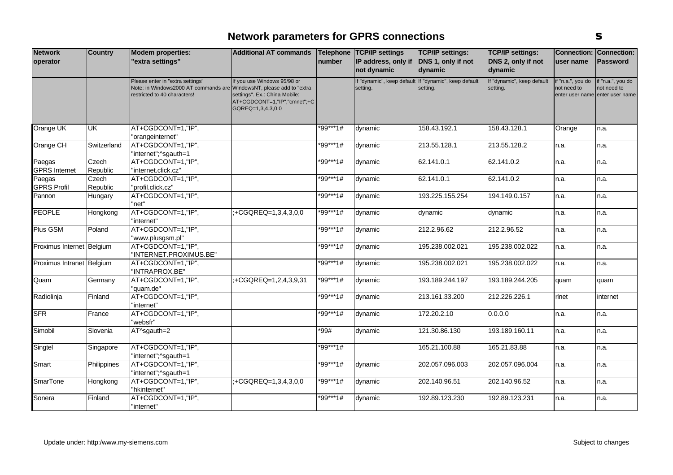| <b>Network</b>                 | <b>Country</b>    | <b>Modem properties:</b>                                                                                 | <b>Additional AT commands</b>                                                                                                                        |          | Telephone TCP/IP settings | <b>TCP/IP settings:</b>                                           | <b>TCP/IP settings:</b>                | <b>Connection:</b>               | Connection:                                                         |
|--------------------------------|-------------------|----------------------------------------------------------------------------------------------------------|------------------------------------------------------------------------------------------------------------------------------------------------------|----------|---------------------------|-------------------------------------------------------------------|----------------------------------------|----------------------------------|---------------------------------------------------------------------|
| operator                       |                   | 'extra settings"                                                                                         |                                                                                                                                                      | number   | IP address, only if       | DNS 1, only if not                                                | DNS 2, only if not                     | user name                        | Password                                                            |
|                                |                   |                                                                                                          |                                                                                                                                                      |          | not dynamic               | dynamic                                                           | dynamic                                |                                  |                                                                     |
|                                |                   | Please enter in "extra settings"<br>Note: in Windows2000 AT commands are<br>restricted to 40 characters! | If you use Windows 95/98 or<br>WindowsNT, please add to "extra<br>settings". Ex.: China Mobile:<br>AT+CGDCONT=1,"IP","cmnet";+C<br>GQREQ=1,3,4,3,0,0 |          | setting.                  | If "dynamic", keep default If "dynamic", keep default<br>setting. | If "dynamic", keep default<br>setting. | if "n.a.", you do<br>not need to | if "n.a.", you do<br>not need to<br>enter user name enter user name |
| Orange UK                      | <b>UK</b>         | AT+CGDCONT=1,"IP",                                                                                       |                                                                                                                                                      | *99***1# | dynamic                   | 158.43.192.1                                                      | 158.43.128.1                           | Orange                           | n.a.                                                                |
|                                |                   | "orangeinternet"                                                                                         |                                                                                                                                                      |          |                           |                                                                   |                                        |                                  |                                                                     |
| Orange CH                      | Switzerland       | AT+CGDCONT=1,"IP",<br>"internet";^sgauth=1                                                               |                                                                                                                                                      | *99***1# | dynamic                   | 213.55.128.1                                                      | 213.55.128.2                           | n.a.                             | n.a.                                                                |
| Paegas<br><b>GPRS</b> Internet | Czech<br>Republic | AT+CGDCONT=1,"IP",<br>"internet.click.cz"                                                                |                                                                                                                                                      | *99***1# | dynamic                   | 62.141.0.1                                                        | 62.141.0.2                             | n.a.                             | n.a.                                                                |
| Paegas                         | Czech             | AT+CGDCONT=1,"IP",                                                                                       |                                                                                                                                                      | *99***1# | dynamic                   | 62.141.0.1                                                        | 62.141.0.2                             | n.a.                             | n.a.                                                                |
| <b>GPRS Profil</b>             | Republic          | "profil.click.cz"                                                                                        |                                                                                                                                                      |          |                           |                                                                   |                                        |                                  |                                                                     |
| Pannon                         | Hungary           | AT+CGDCONT=1,"IP",<br>"net"                                                                              |                                                                                                                                                      | *99***1# | dynamic                   | 193.225.155.254                                                   | 194.149.0.157                          | n.a.                             | n.a.                                                                |
| <b>PEOPLE</b>                  | Hongkong          | AT+CGDCONT=1,"IP",<br>"internet"                                                                         | +CGQREQ=1,3,4,3,0,0                                                                                                                                  | *99***1# | dynamic                   | dynamic                                                           | dynamic                                | n.a.                             | n.a.                                                                |
| Plus GSM                       | Poland            | AT+CGDCONT=1,"IP",<br>"www.plusgsm.pl"                                                                   |                                                                                                                                                      | *99***1# | dynamic                   | 212.2.96.62                                                       | 212.2.96.52                            | n.a.                             | n.a.                                                                |
| Proximus Internet Belgium      |                   | AT+CGDCONT=1,"IP",<br>"INTERNET.PROXIMUS.BE"                                                             |                                                                                                                                                      | *99***1# | dynamic                   | 195.238.002.021                                                   | 195.238.002.022                        | n.a.                             | n.a.                                                                |
| Proximus Intranet Belgium      |                   | AT+CGDCONT=1,"IP",<br>"INTRAPROX.BE"                                                                     |                                                                                                                                                      | *99***1# | dvnamic                   | 195.238.002.021                                                   | 195.238.002.022                        | n.a.                             | n.a.                                                                |
| Quam                           | Germany           | AT+CGDCONT=1,"IP",<br>"quam.de"                                                                          | :+CGQREQ=1,2,4,3,9,31                                                                                                                                | *99***1# | dynamic                   | 193.189.244.197                                                   | 193.189.244.205                        | quam                             | quam                                                                |
| Radiolinja                     | Finland           | AT+CGDCONT=1,"IP",<br>"internet"                                                                         |                                                                                                                                                      | *99***1# | dynamic                   | 213.161.33.200                                                    | 212.226.226.1                          | rlnet                            | internet                                                            |
| <b>SFR</b>                     | France            | AT+CGDCONT=1,"IP",<br>"websfr"                                                                           |                                                                                                                                                      | *99***1# | dynamic                   | 172.20.2.10                                                       | 0.0.0.0                                | n.a.                             | n.a.                                                                |
| Simobil                        | Slovenia          | AT^sgauth=2                                                                                              |                                                                                                                                                      | *99#     | dynamic                   | 121.30.86.130                                                     | 193.189.160.11                         | n.a.                             | n.a.                                                                |
| Singtel                        | Singapore         | AT+CGDCONT=1,"IP",<br>"internet";^sgauth=1                                                               |                                                                                                                                                      | *99***1# |                           | 165.21.100.88                                                     | 165.21.83.88                           | n.a.                             | n.a.                                                                |
| Smart                          | Philippines       | AT+CGDCONT=1,"IP",<br>"internet";^sgauth=1                                                               |                                                                                                                                                      | *99***1# | dynamic                   | 202.057.096.003                                                   | 202.057.096.004                        | n.a.                             | n.a.                                                                |
| <b>SmarTone</b>                | Hongkong          | AT+CGDCONT=1,"IP",<br>"hkinternet"                                                                       | +CGQREQ=1,3,4,3,0,0                                                                                                                                  | *99***1# | dynamic                   | 202.140.96.51                                                     | 202.140.96.52                          | n.a.                             | n.a.                                                                |
| Sonera                         | Finland           | AT+CGDCONT=1,"IP",<br>"internet"                                                                         |                                                                                                                                                      | *99***1# | dynamic                   | 192.89.123.230                                                    | 192.89.123.231                         | n.a.                             | n.a.                                                                |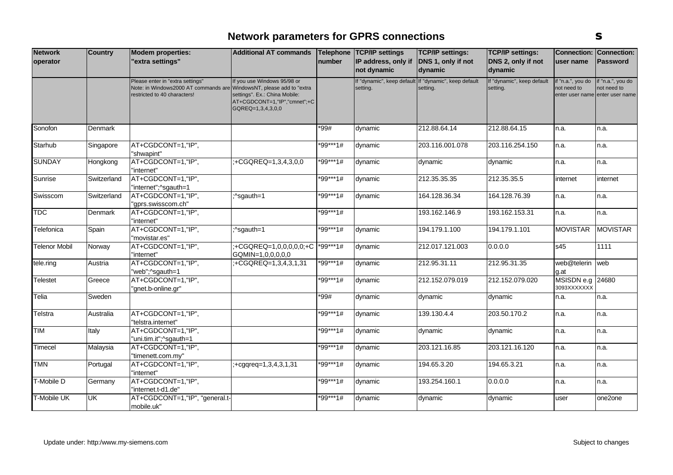| <b>Network</b>       | <b>Country</b> | <b>Modem properties:</b>                                                                                                                 | <b>Additional AT commands</b>                                                                                     |            | Telephone TCP/IP settings | <b>TCP/IP settings:</b>                                           | <b>TCP/IP settings:</b>                | <b>Connection:</b>               | Connection:                                                         |
|----------------------|----------------|------------------------------------------------------------------------------------------------------------------------------------------|-------------------------------------------------------------------------------------------------------------------|------------|---------------------------|-------------------------------------------------------------------|----------------------------------------|----------------------------------|---------------------------------------------------------------------|
| operator             |                | extra settings"                                                                                                                          |                                                                                                                   | number     | IP address, only if       | DNS 1, only if not                                                | DNS 2, only if not                     | user name                        | <b>Password</b>                                                     |
|                      |                |                                                                                                                                          |                                                                                                                   |            | not dynamic               | dynamic                                                           | dynamic                                |                                  |                                                                     |
|                      |                | Please enter in "extra settings"<br>Note: in Windows2000 AT commands are WindowsNT, please add to "extra<br>restricted to 40 characters! | If you use Windows 95/98 or<br>settings". Ex.: China Mobile:<br>AT+CGDCONT=1,"IP","cmnet";+C<br>GQREQ=1,3,4,3,0,0 |            | setting.                  | If "dynamic", keep default If "dynamic", keep default<br>setting. | If "dynamic", keep default<br>setting. | if "n.a.", you do<br>not need to | if "n.a.", you do<br>not need to<br>enter user name enter user name |
| Sonofon              | Denmark        |                                                                                                                                          |                                                                                                                   | *99#       | dynamic                   | 212.88.64.14                                                      | 212.88.64.15                           | n.a.                             | n.a.                                                                |
| Starhub              | Singapore      | AT+CGDCONT=1,"IP",<br>'shwapint"                                                                                                         |                                                                                                                   | *99***1#   | dynamic                   | 203.116.001.078                                                   | 203.116.254.150                        | n.a.                             | n.a.                                                                |
| <b>SUNDAY</b>        | Hongkong       | AT+CGDCONT=1,"IP",<br>"internet"                                                                                                         | :+CGQREQ=1,3,4,3,0,0                                                                                              | *99***1#   | dynamic                   | dynamic                                                           | dynamic                                | n.a.                             | n.a.                                                                |
| Sunrise              | Switzerland    | AT+CGDCONT=1,"IP",<br>"internet";^sgauth=1                                                                                               |                                                                                                                   | *99***1#   | dynamic                   | 212.35.35.35                                                      | 212.35.35.5                            | internet                         | internet                                                            |
| Swisscom             | Switzerland    | AT+CGDCONT=1,"IP",<br>"gprs.swisscom.ch"                                                                                                 | :^sgauth=1                                                                                                        | *99***1#   | dynamic                   | 164.128.36.34                                                     | 164.128.76.39                          | n.a.                             | n.a.                                                                |
| <b>TDC</b>           | Denmark        | AT+CGDCONT=1,"IP",<br>'internet"                                                                                                         |                                                                                                                   | *99***1#   |                           | 193.162.146.9                                                     | 193.162.153.31                         | n.a.                             | n.a.                                                                |
| Telefonica           | Spain          | AT+CGDCONT=1,"IP",<br>"movistar.es"                                                                                                      | ;^sgauth=1                                                                                                        | $*99***1#$ | dynamic                   | 194.179.1.100                                                     | 194.179.1.101                          | <b>MOVISTAR</b>                  | <b>MOVISTAR</b>                                                     |
| <b>Telenor Mobil</b> | Norway         | AT+CGDCONT=1,"IP",<br>'internet"                                                                                                         | +CGQREQ=1,0,0,0,0,0;+C<br>GQMIN=1,0,0,0,0,0                                                                       | $*99***1#$ | dynamic                   | 212.017.121.003                                                   | 0.0.0.0                                | s45                              | 1111                                                                |
| tele.ring            | Austria        | AT+CGDCONT=1,"IP",<br>'web";^sgauth=1                                                                                                    | :+CGQREQ=1,3,4,3,1,31                                                                                             | *99***1#   | dynamic                   | 212.95.31.11                                                      | 212.95.31.35                           | web@telerin<br>g.at              | web                                                                 |
| Telestet             | Greece         | AT+CGDCONT=1,"IP",<br>'gnet.b-online.gr"                                                                                                 |                                                                                                                   | *99***1#   | dynamic                   | 212.152.079.019                                                   | 212.152.079.020                        | MSISDN e.g 24680<br>3093XXXXXXX  |                                                                     |
| Telia                | Sweden         |                                                                                                                                          |                                                                                                                   | *99#       | dynamic                   | dynamic                                                           | dynamic                                | n.a.                             | n.a.                                                                |
| Telstra              | Australia      | AT+CGDCONT=1,"IP",<br>"telstra.internet"                                                                                                 |                                                                                                                   | *99***1#   | dynamic                   | 139.130.4.4                                                       | 203.50.170.2                           | n.a.                             | n.a.                                                                |
| <b>TIM</b>           | Italy          | AT+CGDCONT=1,"IP",<br>uni.tim.it";^sgauth=1"                                                                                             |                                                                                                                   | *99***1#   | dynamic                   | dynamic                                                           | dynamic                                | n.a.                             | n.a.                                                                |
| Timecel              | Malaysia       | AT+CGDCONT=1,"IP",<br>"timenett.com.my"                                                                                                  |                                                                                                                   | *99***1#   | dynamic                   | 203.121.16.85                                                     | 203.121.16.120                         | n.a.                             | n.a.                                                                |
| <b>TMN</b>           | Portugal       | AT+CGDCONT=1,"IP",<br>"internet"                                                                                                         | $;+c$ gqreq=1,3,4,3,1,31                                                                                          | *99***1#   | dynamic                   | 194.65.3.20                                                       | 194.65.3.21                            | n.a.                             | n.a.                                                                |
| T-Mobile D           | Germany        | AT+CGDCONT=1,"IP",<br>"internet.t-d1.de"                                                                                                 |                                                                                                                   | *99***1#   | dynamic                   | 193.254.160.1                                                     | 0.0.0.0                                | n.a.                             | n.a.                                                                |
| T-Mobile UK          | <b>UK</b>      | AT+CGDCONT=1,"IP", "general.t-<br>mobile.uk"                                                                                             |                                                                                                                   | *99***1#   | dynamic                   | dynamic                                                           | dynamic                                | user                             | one2one                                                             |